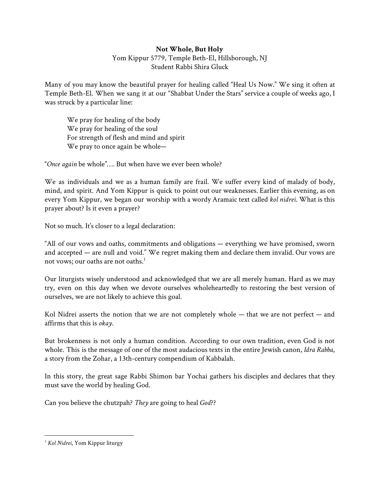## **Not Whole, But Holy**

Yom Kippur 5779, Temple Beth-El, Hillsborough, NJ Student Rabbi Shira Gluck

Many of you may know the beautiful prayer for healing called "Heal Us Now." We sing it often at Temple Beth-El. When we sang it at our "Shabbat Under the Stars" service a couple of weeks ago, I was struck by a particular line:

We pray for healing of the body We pray for healing of the soul For strength of flesh and mind and spirit We pray to once again be whole—

"*Once again* be whole"…. But when have we ever been whole?

We as individuals and we as a human family are frail. We suffer every kind of malady of body, mind, and spirit. And Yom Kippur is quick to point out our weaknesses. Earlier this evening, as on every Yom Kippur, we began our worship with a wordy Aramaic text called *kol nidrei*. What is this prayer about? Is it even a prayer?

Not so much. It's closer to a legal declaration:

"All of our vows and oaths, commitments and obligations — everything we have promised, sworn and accepted — are null and void." We regret making them and declare them invalid. Our vows are not vows; our oaths are not oaths.<sup>1</sup>

Our liturgists wisely understood and acknowledged that we are all merely human. Hard as we may try, even on this day when we devote ourselves wholeheartedly to restoring the best version of ourselves, we are not likely to achieve this goal.

Kol Nidrei asserts the notion that we are not completely whole  $-$  that we are not perfect  $-$  and affirms that this is *okay*.

But brokenness is not only a human condition. According to our own tradition, even God is not whole. This is the message of one of the most audacious texts in the entire Jewish canon, *Idra Rabba*, a story from the Zohar, a 13th-century compendium of Kabbalah.

In this story, the great sage Rabbi Shimon bar Yochai gathers his disciples and declares that they must save the world by healing God.

Can you believe the chutzpah? *They* are going to heal *God*??

<sup>1</sup> *Kol Nidrei*, Yom Kippur liturgy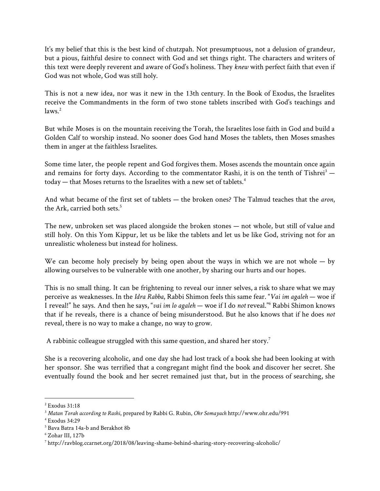It's my belief that this is the best kind of chutzpah. Not presumptuous, not a delusion of grandeur, but a pious, faithful desire to connect with God and set things right. The characters and writers of this text were deeply reverent and aware of God's holiness. They *knew* with perfect faith that even if God was not whole, God was still holy.

This is not a new idea, nor was it new in the 13th century. In the Book of Exodus, the Israelites receive the Commandments in the form of two stone tablets inscribed with God's teachings and  $laws.<sup>2</sup>$ 

But while Moses is on the mountain receiving the Torah, the Israelites lose faith in God and build a Golden Calf to worship instead. No sooner does God hand Moses the tablets, then Moses smashes them in anger at the faithless Israelites.

Some time later, the people repent and God forgives them. Moses ascends the mountain once again and remains for forty days. According to the commentator Rashi, it is on the tenth of Tishrei<sup>3</sup>  $$ today — that Moses returns to the Israelites with a new set of tablets.<sup>4</sup>

And what became of the first set of tablets — the broken ones? The Talmud teaches that the *aron*, the Ark, carried both sets.<sup>5</sup>

The new, unbroken set was placed alongside the broken stones — not whole, but still of value and still holy. On this Yom Kippur, let us be like the tablets and let us be like God, striving not for an unrealistic wholeness but instead for holiness.

We can become holy precisely by being open about the ways in which we are not whole  $-$  by allowing ourselves to be vulnerable with one another, by sharing our hurts and our hopes.

This is no small thing. It can be frightening to reveal our inner selves, a risk to share what we may perceive as weaknesses. In the *Idra Rabba*, Rabbi Shimon feels this same fear. "*Vai im agaleh* — woe if I reveal!" he says. And then he says, "*vai im lo agaleh* — woe if I do *not* reveal." Rabbi Shimon knows <sup>6</sup> that if he reveals, there is a chance of being misunderstood. But he also knows that if he does *not* reveal, there is no way to make a change, no way to grow.

A rabbinic colleague struggled with this same question, and shared her story.<sup>7</sup>

She is a recovering alcoholic, and one day she had lost track of a book she had been looking at with her sponsor. She was terrified that a congregant might find the book and discover her secret. She eventually found the book and her secret remained just that, but in the process of searching, she

<sup>2</sup> Exodus 31:18

<sup>3</sup> *Matan Torah according to Rashi*, prepared by Rabbi G. Rubin, *Ohr Somayach* http://www.ohr.edu/991

<sup>4</sup> Exodus 34:29

<sup>5</sup> Bava Batra 14a-b and Berakhot 8b

<sup>6</sup> Zohar III, 127b

<sup>7</sup> http://ravblog.ccarnet.org/2018/08/leaving-shame-behind-sharing-story-recovering-alcoholic/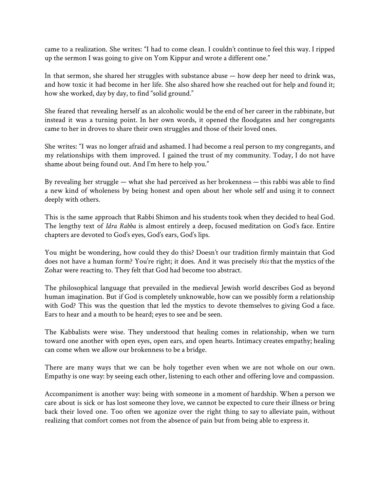came to a realization. She writes: "I had to come clean. I couldn't continue to feel this way. I ripped up the sermon I was going to give on Yom Kippur and wrote a different one."

In that sermon, she shared her struggles with substance abuse — how deep her need to drink was, and how toxic it had become in her life. She also shared how she reached out for help and found it; how she worked, day by day, to find "solid ground."

She feared that revealing herself as an alcoholic would be the end of her career in the rabbinate, but instead it was a turning point. In her own words, it opened the floodgates and her congregants came to her in droves to share their own struggles and those of their loved ones.

She writes: "I was no longer afraid and ashamed. I had become a real person to my congregants, and my relationships with them improved. I gained the trust of my community. Today, I do not have shame about being found out. And I'm here to help you."

By revealing her struggle — what she had perceived as her brokenness — this rabbi was able to find a new kind of wholeness by being honest and open about her whole self and using it to connect deeply with others.

This is the same approach that Rabbi Shimon and his students took when they decided to heal God. The lengthy text of *Idra Rabba* is almost entirely a deep, focused meditation on God's face. Entire chapters are devoted to God's eyes, God's ears, God's lips.

You might be wondering, how could they do this? Doesn't our tradition firmly maintain that God does not have a human form? You're right; it does. And it was precisely *this* that the mystics of the Zohar were reacting to. They felt that God had become too abstract.

The philosophical language that prevailed in the medieval Jewish world describes God as beyond human imagination. But if God is completely unknowable, how can we possibly form a relationship with God? This was the question that led the mystics to devote themselves to giving God a face. Ears to hear and a mouth to be heard; eyes to see and be seen.

The Kabbalists were wise. They understood that healing comes in relationship, when we turn toward one another with open eyes, open ears, and open hearts. Intimacy creates empathy; healing can come when we allow our brokenness to be a bridge.

There are many ways that we can be holy together even when we are not whole on our own. Empathy is one way: by seeing each other, listening to each other and offering love and compassion.

Accompaniment is another way: being with someone in a moment of hardship. When a person we care about is sick or has lost someone they love, we cannot be expected to cure their illness or bring back their loved one. Too often we agonize over the right thing to say to alleviate pain, without realizing that comfort comes not from the absence of pain but from being able to express it.